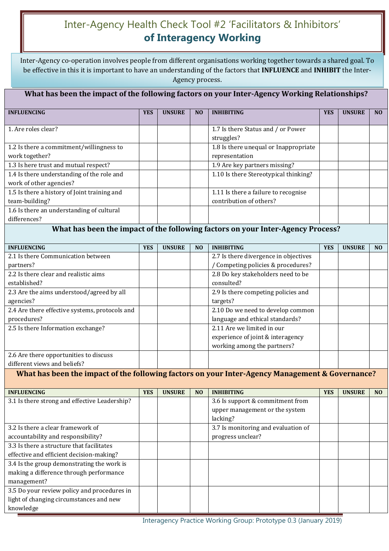# Inter-Agency Health Check Tool #2 'Facilitators & Inhibitors' **of Interagency Working**

Children's Acts Advisory Board, 2009 Inter-Agency co-operation involves people from different organisations working together towards a shared goal. To be effective in this it is important to have an understanding of the factors that **INFLUENCE** and **INHIBIT** the Inter-Agency process.

### **What has been the impact of the following factors on your Inter-Agency Working Relationships?**

| <b>INFLUENCING</b>                           | <b>YES</b> | <b>UNSURE</b> | N <sub>O</sub> | <b>INHIBITING</b>                     | <b>YES</b> | <b>UNSURE</b> | N <sub>O</sub> |
|----------------------------------------------|------------|---------------|----------------|---------------------------------------|------------|---------------|----------------|
|                                              |            |               |                |                                       |            |               |                |
| 1. Are roles clear?                          |            |               |                | 1.7 Is there Status and / or Power    |            |               |                |
|                                              |            |               |                | struggles?                            |            |               |                |
| 1.2 Is there a commitment/willingness to     |            |               |                | 1.8 Is there unequal or Inappropriate |            |               |                |
| work together?                               |            |               |                | representation                        |            |               |                |
| 1.3 Is here trust and mutual respect?        |            |               |                | 1.9 Are key partners missing?         |            |               |                |
| 1.4 Is there understanding of the role and   |            |               |                | 1.10 Is there Stereotypical thinking? |            |               |                |
| work of other agencies?                      |            |               |                |                                       |            |               |                |
| 1.5 Is there a history of Joint training and |            |               |                | 1.11 Is there a failure to recognise  |            |               |                |
| team-building?                               |            |               |                | contribution of others?               |            |               |                |
| 1.6 Is there an understanding of cultural    |            |               |                |                                       |            |               |                |
| differences?                                 |            |               |                |                                       |            |               |                |

#### **What has been the impact of the following factors on your Inter-Agency Process?**

| <b>INFLUENCING</b>                             | <b>YES</b> | <b>UNSURE</b> | N <sub>O</sub> | <b>INHIBITING</b>                     | <b>YES</b> | <b>UNSURE</b> | N <sub>O</sub> |
|------------------------------------------------|------------|---------------|----------------|---------------------------------------|------------|---------------|----------------|
| 2.1 Is there Communication between             |            |               |                | 2.7 Is there divergence in objectives |            |               |                |
| partners?                                      |            |               |                | Competing policies & procedures?      |            |               |                |
| 2.2 Is there clear and realistic aims          |            |               |                | 2.8 Do key stakeholders need to be    |            |               |                |
| established?                                   |            |               |                | consulted?                            |            |               |                |
| 2.3 Are the aims understood/agreed by all      |            |               |                | 2.9 Is there competing policies and   |            |               |                |
| agencies?                                      |            |               |                | targets?                              |            |               |                |
| 2.4 Are there effective systems, protocols and |            |               |                | 2.10 Do we need to develop common     |            |               |                |
| procedures?                                    |            |               |                | language and ethical standards?       |            |               |                |
| 2.5 Is there Information exchange?             |            |               |                | 2.11 Are we limited in our            |            |               |                |
|                                                |            |               |                | experience of joint & interagency     |            |               |                |
|                                                |            |               |                | working among the partners?           |            |               |                |
| 2.6 Are there opportunities to discuss         |            |               |                |                                       |            |               |                |
| different views and beliefs?                   |            |               |                |                                       |            |               |                |

**What has been the impact of the following factors on your Inter-Agency Management & Governance?**

| <b>INFLUENCING</b>                            | <b>YES</b> | <b>UNSURE</b> | N <sub>O</sub> | <b>INHIBITING</b>                   | <b>YES</b> | <b>UNSURE</b> | N <sub>O</sub> |
|-----------------------------------------------|------------|---------------|----------------|-------------------------------------|------------|---------------|----------------|
| 3.1 Is there strong and effective Leadership? |            |               |                | 3.6 Is support & commitment from    |            |               |                |
|                                               |            |               |                | upper management or the system      |            |               |                |
|                                               |            |               |                | lacking?                            |            |               |                |
| 3.2 Is there a clear framework of             |            |               |                | 3.7 Is monitoring and evaluation of |            |               |                |
| accountability and responsibility?            |            |               |                | progress unclear?                   |            |               |                |
| 3.3 Is there a structure that facilitates     |            |               |                |                                     |            |               |                |
| effective and efficient decision-making?      |            |               |                |                                     |            |               |                |
| 3.4 Is the group demonstrating the work is    |            |               |                |                                     |            |               |                |
| making a difference through performance       |            |               |                |                                     |            |               |                |
| management?                                   |            |               |                |                                     |            |               |                |
| 3.5 Do your review policy and procedures in   |            |               |                |                                     |            |               |                |
| light of changing circumstances and new       |            |               |                |                                     |            |               |                |
| knowledge                                     |            |               |                |                                     |            |               |                |